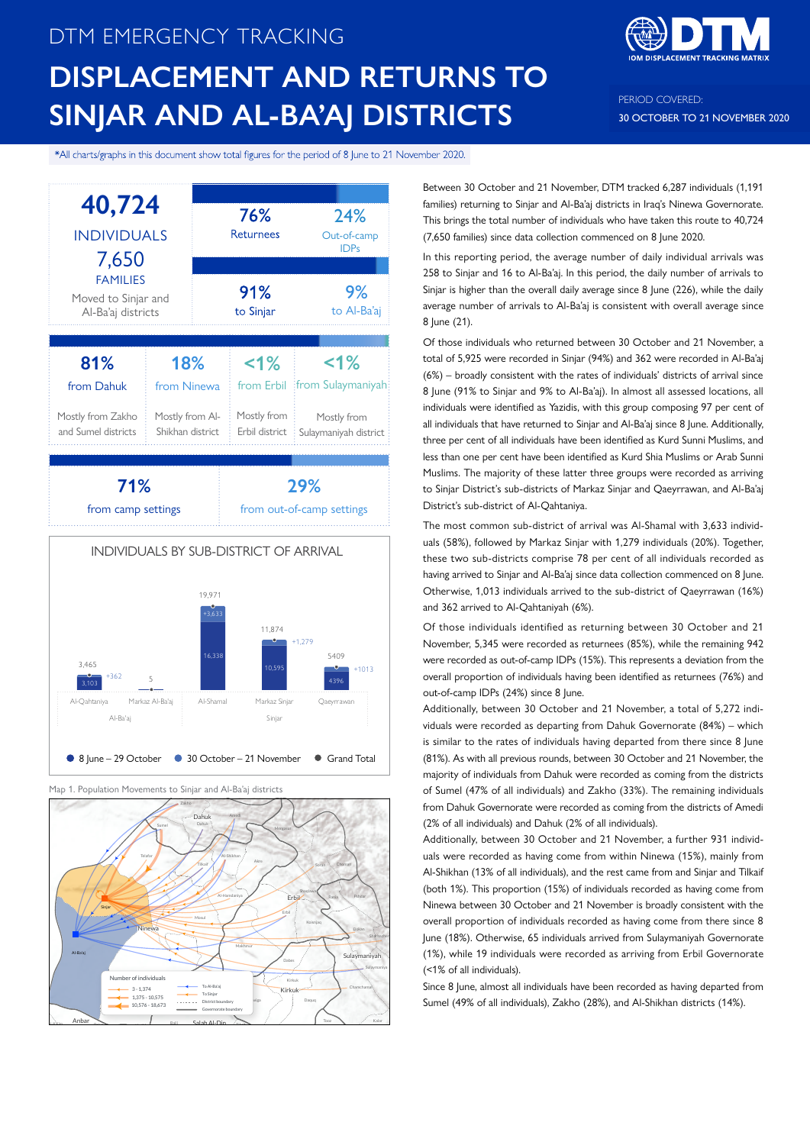# DTM EMERGENCY TRACKING **DISPLACEMENT AND RETURNS TO SINJAR AND AL-BA'AJ DISTRICTS**



PERIOD COVERED: 30 OCTOBER TO 21 NOVEMBER 2020

\*All charts/graphs in this document show total figures for the period of 8 June to 21 November 2020.





Map 1. Population Movements to Sinjar and Al-Ba'aj districts



Between 30 October and 21 November, DTM tracked 6,287 individuals (1,191 families) returning to Sinjar and Al-Ba'aj districts in Iraq's Ninewa Governorate. This brings the total number of individuals who have taken this route to 40,724 (7,650 families) since data collection commenced on 8 June 2020.

In this reporting period, the average number of daily individual arrivals was 258 to Sinjar and 16 to Al-Ba'aj. In this period, the daily number of arrivals to Sinjar is higher than the overall daily average since 8 June (226), while the daily average number of arrivals to Al-Ba'aj is consistent with overall average since 8 June (21).

Of those individuals who returned between 30 October and 21 November, a total of 5,925 were recorded in Sinjar (94%) and 362 were recorded in Al-Ba'aj (6%) – broadly consistent with the rates of individuals' districts of arrival since 8 June (91% to Sinjar and 9% to Al-Ba'aj). In almost all assessed locations, all individuals were identified as Yazidis, with this group composing 97 per cent of all individuals that have returned to Sinjar and Al-Ba'aj since 8 June. Additionally, three per cent of all individuals have been identified as Kurd Sunni Muslims, and less than one per cent have been identified as Kurd Shia Muslims or Arab Sunni Muslims. The majority of these latter three groups were recorded as arriving to Sinjar District's sub-districts of Markaz Sinjar and Qaeyrrawan, and Al-Ba'aj District's sub-district of Al-Qahtaniya.

The most common sub-district of arrival was Al-Shamal with 3,633 individuals (58%), followed by Markaz Sinjar with 1,279 individuals (20%). Together, these two sub-districts comprise 78 per cent of all individuals recorded as having arrived to Sinjar and Al-Ba'aj since data collection commenced on 8 June. Otherwise, 1,013 individuals arrived to the sub-district of Qaeyrrawan (16%) and 362 arrived to Al-Qahtaniyah (6%).

Of those individuals identified as returning between 30 October and 21 November, 5,345 were recorded as returnees (85%), while the remaining 942 were recorded as out-of-camp IDPs (15%). This represents a deviation from the overall proportion of individuals having been identified as returnees (76%) and out-of-camp IDPs (24%) since 8 June.

Additionally, between 30 October and 21 November, a total of 5,272 individuals were recorded as departing from Dahuk Governorate (84%) – which is similar to the rates of individuals having departed from there since 8 June (81%). As with all previous rounds, between 30 October and 21 November, the majority of individuals from Dahuk were recorded as coming from the districts of Sumel (47% of all individuals) and Zakho (33%). The remaining individuals from Dahuk Governorate were recorded as coming from the districts of Amedi (2% of all individuals) and Dahuk (2% of all individuals).

Additionally, between 30 October and 21 November, a further 931 individuals were recorded as having come from within Ninewa (15%), mainly from Al-Shikhan (13% of all individuals), and the rest came from and Sinjar and Tilkaif (both 1%). This proportion (15%) of individuals recorded as having come from Ninewa between 30 October and 21 November is broadly consistent with the overall proportion of individuals recorded as having come from there since 8 June (18%). Otherwise, 65 individuals arrived from Sulaymaniyah Governorate (1%), while 19 individuals were recorded as arriving from Erbil Governorate (<1% of all individuals).

Since 8 June, almost all individuals have been recorded as having departed from Sumel (49% of all individuals), Zakho (28%), and Al-Shikhan districts (14%).